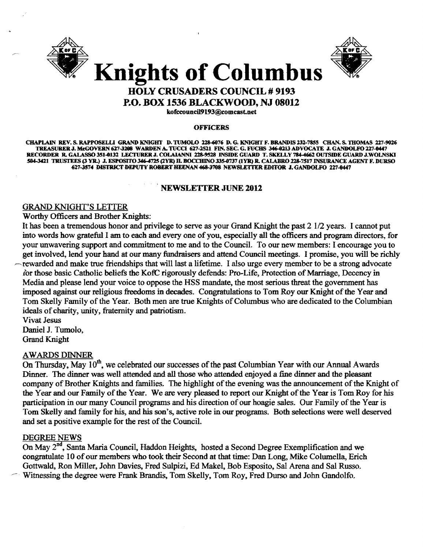



# HOLY CRUSADERS COUNCIL # 9193 P.O. BOX 1536 BLACKWOOD, NJ 08012

kofccouncil9193@comcast.net

#### **OFFICERS**

CHAPLAIN REV. S. RAPPOSELLI GRAND KNIGHT D. TUMOLO 228-6076 D. G. KNIGHT F. BRANDIS 232-7855 CHAN. S. THOMAS 227-9026 TREASURER J. MeGOVERN 627-3208 WARDEN A. TUCCI 627-2521 FIN. SEC. G. FUCHS 346-0213 ADVOCATE J. GANDOLFO 227-0447 RECORDER R. GALASSO 351-0132 LECTURER J. COLAIANNI 228-9528 INSIDE GUARD T. SKELLY 784-4662 OUTSIDE GUARD J.WOLNSKI 504-3421 TRUSTEES (3 YR.) J. ESPOSITO 346-4725 (2YR) H. BOCCHINO 335-0737 (IYR) R. CALABRO 228-7517 INSURANCE AGENT F. DURSO 627-3574 DISTRICT DEPUTY ROBERT HEENAN 468-3798 NEWSLETTER EDITOR J. GANDOLFO 227-0447

# NEWSLETTER JUNE 2012

# GRAND KNIGHT'S LETTER

Worthy Officers and Brother Knights:

It has been a tremendous honor and privilege to serve as your Grand Knight the past 2 1/2 years. I cannot put into words how grateful I am to each and every one of you, especially all the officers and program directors, for your unwavering support and commitment to me and to the Council. To our new members: I encourage you to get involved, lend your hand at our many fimdraisers and attend Council meetings. I promise, you will be richly ~rewarded and make true friendships that will last a lifetime. I also urge every member to be a strong advocate lor those basic Catholic beliefs the KofC rigorously defends: Pro-Life, Protection of Marriage, Decency in Media and please lend your voice to oppose the HSS mandate, the most serious threat the government has imposed against our religious freedoms in decades. Congratulations to Tom Roy our Knight of the Year and Tom Skelly Family of the Year. Both men are true Knights of Columbus who are dedicated to the Columbian ideals of charity, unity, fraternity and patriotism.

Vivat Jesus Daniel J. Tumolo, Grand Knight

#### AWARDS DINNER

On Thursday, May  $10^{th}$ , we celebrated our successes of the past Columbian Year with our Annual Awards Dinner. The dinner was well attended and all those who attended enjoyed a fine dinner and the pleasant company of Brother Knights and families. The highlight of the evening was the announcement of the Knight of the Year and our Family of the Year. We are very pleased to report our Knight of the Year is Tom Roy for his participation in our many Council programs and his direction of our hoagie sales. Our Family of the Year is Tom Skelly and family for his. and his son's, active role in our programs. Both selections were well deserved and set a positive example for the rest of the Council.

# DEGREE NEWS

On May 2<sup>nd</sup>, Santa Maria Council, Haddon Heights, hosted a Second Degree Exemplification and we congratulate 10 of our members who took their Second at that time: Dan Long, Mike Columella, Erich Gottwald, Ron Miller, John Davies, Fred Sulpizi, Ed Makel, Bob Esposito, Sal Arena and Sal Russo, Witnessing the degree were Frank Brandis, Tom Skelly, Tom Roy, Fred Durso and John Gandolfo.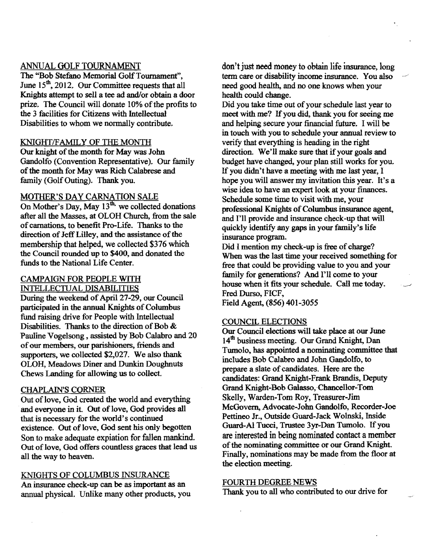# ANNUAL GOLF TOURNAMENT

The "Bob Stefano Memorial Golf Tournament", June  $15<sup>th</sup>$ , 2012. Our Committee requests that all Knights attempt to sell a tee ad and/or obtain a door prize. The Council will donate 10% of the profits to the 3 facilities for Citizens with Intellectual Disabilities to whom we normally contribute.

# KNIGHT/FAMILY OF THE MONTH

Our knight of the month for May was John Gandolfo (Convention Representative). Our family of the month for May was Rich Calabrese and family (Golf Outing). Thank you.

# MOTHER'S DAY CARNATION SALE

On Mother's Day, May  $13<sup>m</sup>$ , we collected donations after all the Masses, at OLOH Church, from the sale of carnations, to benefit Pro-Life. Thanks to the direction of Jeff Lilley, and the assistance of the membership that helped, we collected \$376 which the Council rounded up to \$400, and donated the funds to the National Life Center.

# CAMPAIGN FOR PEOPLE WITH INTELLECTUAL DISABILITIES

During the weekend of April 27-29, our Council participated in the annual Knights of Columbus fund raising drive for People with Intellectual Disabilities. Thanks to the direction of Bob & Pauline Vogelsong, assisted byBob Calabro and 20 of our members, our parishioners, friends and supporters, we collected \$2,027. We also thank OLOH, Meadows Diner and Dunkin Doughnuts Chews Landing for allowing us to collect.

# CHAPLAIN'S CORNER

Out of love, God created the world and everything and everyone in it. Out of love, God provides all that is necessary for the world's continued existence. Out of love, God sent his only begotten Son to make adequate expiation for fallen mankind. Out of love, God offers countless graces that lead us all the way to heaven.

# KNIGHTS OF COLUMBUS INSURANCE

An insurance check-up can be as important as an annual physical. Unlike many other products, you don't just need money to obtain life insurance, long term care or disability income insurance. You also need good health, and no one knows when your health could change.

Did you take time out of your schedule last year to meet with me? If you did, thank you for seeing me and helping secure your fmancial future. I will be in touch with you to schedule your annual review to verify that everything is heading in the right direction. We'll make sure that if your goals and budget have changed, your plan still works for you. If you didn't have a meeting with me last year, I hope you will answer my invitation this year. It's a wise idea to have an expert look at your finances. Schedule some time to visit with me, your professional Knights of Columbus insurance agent, and I'll provide and insurance check-up that will quickly identify any gaps in your family's life insurance program.

Did I mention my check-up is free of charge? When was the last time your received something for free that could be providing value to you and your family for generations? And I'll come to your house when it fits your schedule. Call me today. Fred Durso, FICF, Field Agent, (856) 401-3055

# COUNCIL ELECTIONS

Our Council elections will take place at our June  $14<sup>nt</sup>$  business meeting. Our Grand Knight, Dan Tumolo, has appointed a nominating committee that includes Bob Calabro and John Gandolfo, to prepare a slate of candidates. Here are the candidates: Grand Knight-Frank Brandis, Deputy Grand Knight-Bob Galasso, Chancellor-Tom Skelly, Warden-Tom Roy, Treasurer-Jim McGovern, Advocate-John Gandolfo, Recorder-Joe Pettineo Jr., Outside Guard-Jack Wolnski, Inside Guard-AI Tucci, Trustee 3yr-Dan Tumolo. If you are interested in being nominated contact a member of the nominating committee or our Grand Knight. Finally, nominations may be made from the floor at the election meeting.

#### FOURTH DEGREE NEWS

Thank you to all who contributed to our drive for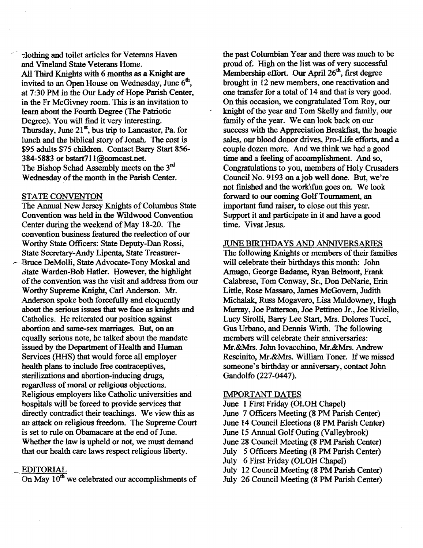rlothing and toilet articles for Veterans Haven and Vineland State Veterans Home. All Third Knights with 6 months as a Knight are invited to an Open House on Wednesday, June  $6<sup>th</sup>$ , at 7:30 PM in the Our Lady of Hope Parish Center, in the Fr McGivney room. This is an invitation to learn about the Fourth Degree (The Patriotic Degree). You will find it very interesting. Thursday, June  $21<sup>st</sup>$ , bus trip to Lancaster, Pa. for lunch and the biblical story of Jonah. The cost is \$95 adults \$75 children. Contact Barry Start 856 384-5883 or bstart711@comcast.net. The Bishop Schad Assembly meets on the 3<sup>rd</sup> Wednesday of the month in the Parish Center.

#### STATE CONVENTON

The Annual New Jersey Knights of Columbus State Convention was held in the Wildwood Convention Center during the weekend of May 18-20. The convention business featured the reelection of our Worthy State Officers: State Deputy-Dan Rossi, State Secretary-Andy Lipenta, State Treasurer

Bruce DeMolli, State Advocate-Tony Moskal and State Warden-Bob Hatler. However, the highlight of the convention was the visit and address from our Worthy Supreme Knight, Carl Anderson. Mr. Anderson spoke both forcefully and eloquently about the serious issues that we face as knights and Catholics. He reiterated our position against abortion and same-sex marriages. But, on an equally serious note, he talked about the mandate issued by the Department of Health and Human Services (HHS) that would force all employer health plans to include free contraceptives, sterilizations and abortion-inducing drugs, regardless of moral or religious objections. Religious employers like Catholic universities and hospitals will be forced to provide services that directly contradict their teachings. We view this as an attack on religious freedom. The Supreme Court is set to rule on Obamacare at the end of June. Whether the law is upheld or not, we must demand that our health care laws respect religious liberty.

# **EDITORIAL**

On May  $10^{th}$  we celebrated our accomplishments of

the past Columbian Year and there was much to be proud of. High on the list was of very successful Membership effort. Our April 26<sup>th</sup>, first degree brought in 12 new members, one reactivation and one transfer for a total of 14 and that is very good. On this occasion, we congratulated Tom Roy, our knight of the year and Tom Skelly and family, our family of the year. We can look back on our success with the Appreciation Breakfast, the hoagie sales, our blood donor drives, Pro-Life efforts, and a couple dozen more. And we think we had a good time and a feeling of accomplishment. And so, Congratulations to you, members of Holy Crusaders Council No. 9193 on a job well done. But, we're not finished and the work\fun goes on. We look forward to our coming Golf Tournament, an important fund raiser, to close out this year. Support it and participate in it and have a good time. Vivat Jesus.

#### JUNE BIRTHDAYS AND ANNIVERSARIES

The following Knights or members of their families will celebrate their birthdays this month: John Amugo, George Badame, Ryan Belmont, Frank Calabrese, Tom Conway, Sr., Don DeNarie, Erin Little, Rose Massaro, James McGovern, Judith Michalak, Russ Mogavero, Lisa Muldowney, Hugh Murray, Joe Patterson, Joe Pettineo Jr., Joe Riviello, Lucy Sirolli, Barry Lee Start, Mrs. Dolores Tucci, Gus Urbano, and Dennis Wirth. The following members will celebrate their anniversaries: Mr.&Mrs. John Iovacchino, Mr.&Mrs. Andrew Rescinito, Mr.&Mrs. William Toner. If we missed someone's birthday or anniversary, contact John Gandolfo (227-0447).

### IMPORTANT DATES

June 1 First Friday (OLOH Chapel) June 7 Officers Meeting (8 PM Parish Center) June 14 Council Elections (8 PM Parish Center) June 15 Annual GolfOuting (Valleybrook) June 28 Council Meeting (8 PM Parish Center) July 5 Officers Meeting (8 PM Parish Center) July 6 First Friday (OLOH Chapel) July 12 Council Meeting (8 PM Parish Center) July 26 Council Meeting (8 PM Parish Center)